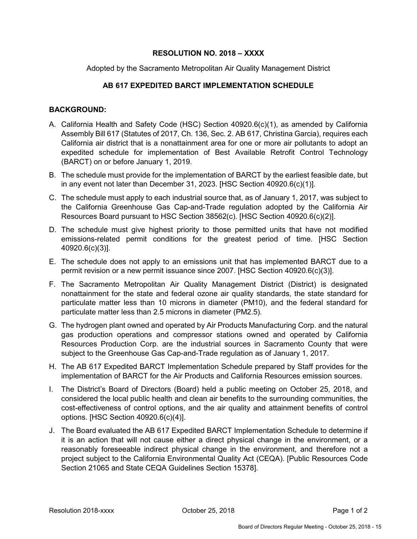## **RESOLUTION NO. 2018 – XXXX**

Adopted by the Sacramento Metropolitan Air Quality Management District

## **AB 617 EXPEDITED BARCT IMPLEMENTATION SCHEDULE**

## **BACKGROUND:**

- A. California Health and Safety Code (HSC) Section 40920.6(c)(1), as amended by California Assembly Bill 617 (Statutes of 2017, Ch. 136, Sec. 2. AB 617, Christina Garcia), requires each California air district that is a nonattainment area for one or more air pollutants to adopt an expedited schedule for implementation of Best Available Retrofit Control Technology (BARCT) on or before January 1, 2019.
- B. The schedule must provide for the implementation of BARCT by the earliest feasible date, but in any event not later than December 31, 2023. [HSC Section 40920.6(c)(1)].
- C. The schedule must apply to each industrial source that, as of January 1, 2017, was subject to the California Greenhouse Gas Cap-and-Trade regulation adopted by the California Air Resources Board pursuant to HSC Section 38562(c). [HSC Section 40920.6(c)(2)].
- D. The schedule must give highest priority to those permitted units that have not modified emissions-related permit conditions for the greatest period of time. [HSC Section 40920.6(c)(3)].
- E. The schedule does not apply to an emissions unit that has implemented BARCT due to a permit revision or a new permit issuance since 2007. [HSC Section 40920.6(c)(3)].
- F. The Sacramento Metropolitan Air Quality Management District (District) is designated nonattainment for the state and federal ozone air quality standards, the state standard for particulate matter less than 10 microns in diameter (PM10), and the federal standard for particulate matter less than 2.5 microns in diameter (PM2.5).
- G. The hydrogen plant owned and operated by Air Products Manufacturing Corp. and the natural gas production operations and compressor stations owned and operated by California Resources Production Corp. are the industrial sources in Sacramento County that were subject to the Greenhouse Gas Cap-and-Trade regulation as of January 1, 2017.
- H. The AB 617 Expedited BARCT Implementation Schedule prepared by Staff provides for the implementation of BARCT for the Air Products and California Resources emission sources.
- I. The District's Board of Directors (Board) held a public meeting on October 25, 2018, and considered the local public health and clean air benefits to the surrounding communities, the cost-effectiveness of control options, and the air quality and attainment benefits of control options. [HSC Section 40920.6(c)(4)].
- J. The Board evaluated the AB 617 Expedited BARCT Implementation Schedule to determine if it is an action that will not cause either a direct physical change in the environment, or a reasonably foreseeable indirect physical change in the environment, and therefore not a project subject to the California Environmental Quality Act (CEQA). [Public Resources Code Section 21065 and State CEQA Guidelines Section 15378].